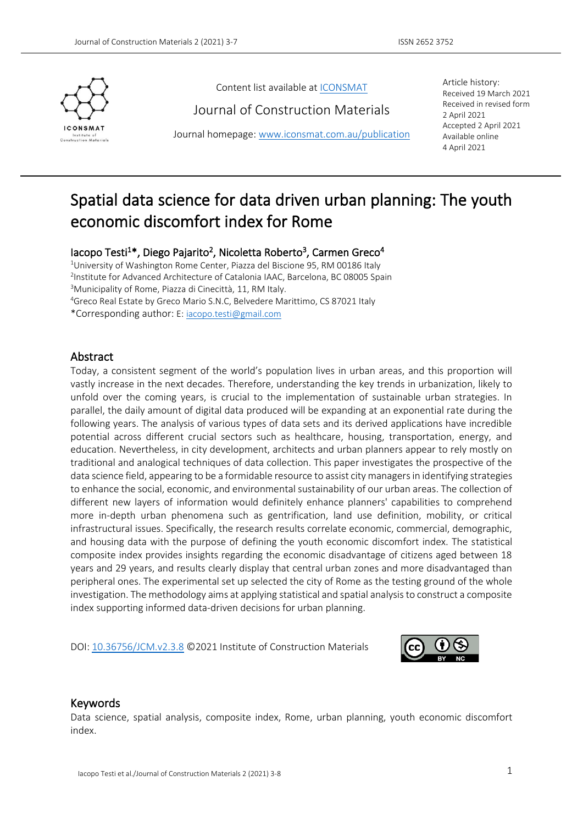

Content list available a[t ICONSMAT](http://www.iconsmat.com.au/)

Journal of Construction Materials

Journal homepage: [www.iconsmat.com.au/publication](http://www.iconsmat.com.au/publication)

Article history: Received 19 March 2021 Received in revised form 2 April 2021 Accepted 2 April 2021 Available online <sup>4</sup> April <sup>2021</sup>

# Spatial data science for data driven urban planning: The youth economic discomfort index for Rome

## lacopo Testi<sup>1\*</sup>, Diego Pajarito<sup>2</sup>, Nicoletta Roberto<sup>3</sup>, Carmen Greco<sup>4</sup>

<sup>1</sup>University of Washington Rome Center, Piazza del Biscione 95, RM 00186 Italy <sup>2</sup>Institute for Advanced Architecture of Catalonia IAAC, Barcelona, BC 08005 Spain <sup>3</sup>Municipality of Rome, Piazza di Cinecittà, 11, RM Italy. <sup>4</sup>Greco Real Estate by Greco Mario S.N.C, Belvedere Marittimo, CS 87021 Italy

\*Corresponding author: E: [iacopo.testi@gmail.com](mailto:iacopo.testi@gmail.com)

#### Abstract

Today, a consistent segment of the world's populationlives in urban areas, and this proportion will vastly increase in the next decades. Therefore, understanding the key trends in urbanization, likely to unfold over the coming years, is crucial to the implementation of sustainable urban strategies. In parallel, the daily amount of digital data produced will be expanding at an exponential rate during the following years. The analysis of various types of data sets and its derived applications have incredible potential across different crucial sectors such as healthcare, housing, transportation, energy, and education. Nevertheless, in city development, architects and urban planners appear to rely mostly on traditional and analogical techniques of data collection. This paper investigates the prospective of the data science field, appearing to be a formidable resource to assist city managers in identifying strategies to enhance the social, economic, and environmental sustainability of our urban areas. The collection of different new layers of information would definitely enhance planners' capabilities to comprehend more in-depth urban phenomena such as gentrification, land use definition, mobility, or critical infrastructural issues. Specifically, the research results correlate economic, commercial, demographic, and housing data with the purpose of defining the youth economic discomfort index. The statistical composite index provides insights regarding the economic disadvantage of citizens aged between 18 years and 29 years, and results clearly display that central urban zones and more disadvantaged than peripheral ones. The experimental set up selected the city of Rome as the testing ground of the whole investigation. The methodology aims at applying statistical and spatial analysis to construct a composite index supporting informed data-driven decisions for urban planning.

DOI: [10.36756/JCM.v2.3.8](https://doi.org/10.36756/JCM.v2.3.8) ©2021 Institute of Construction Materials



#### Keywords

Data science, spatial analysis, composite index,Rome, urban planning, youth economic discomfort index.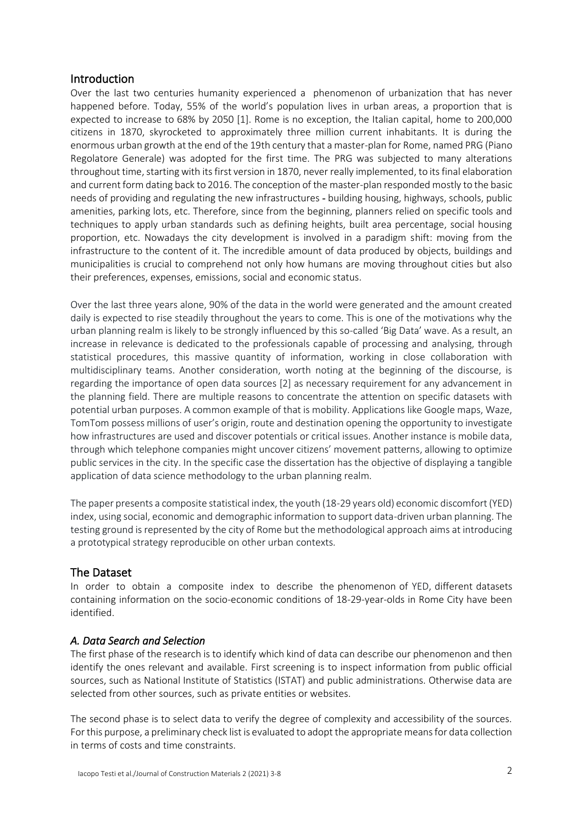## Introduction

Over the last two centuries humanity experienced a phenomenon of urbanization that has never happened before. Today, 55% of the world's population lives in urban areas, a proportion that is expected to increase to 68% by 2050 [1]. Rome is no exception, the Italian capital, home to 200,000 citizens in 1870, skyrocketed to approximately three million current inhabitants. It is during the enormous urban growth at the end of the 19th century that a master-plan for Rome, named PRG (Piano Regolatore Generale) was adopted for the first time. The PRG was subjected to many alterations throughout time, starting with its first version in 1870, never really implemented, to its final elaboration and current form dating back to 2016. The conception of the master-plan responded mostly to the basic needs of providing and regulating the new infrastructures - building housing, highways, schools, public amenities, parking lots, etc. Therefore, since from the beginning, planners relied on specific tools and techniques to apply urban standards such as defining heights, built area percentage, social housing proportion, etc. Nowadays the city development is involved in a paradigm shift: moving from the infrastructure to the content of it. The incredible amount of data produced by objects, buildings and municipalities is crucial to comprehend not only how humans are moving throughout cities but also their preferences, expenses, emissions, social and economic status.

Over the last three years alone, 90% of the data in the world were generated and the amount created daily is expected to rise steadily throughout the years to come. This is one of the motivations why the urban planning realm is likely to be strongly influenced by this so-called 'Big Data' wave. As a result, an increase in relevance is dedicated to the professionals capable of processing and analysing, through statistical procedures, this massive quantity of information, working in close collaboration with multidisciplinary teams. Another consideration, worth noting at the beginning of the discourse, is regarding the importance of open data sources [2] as necessary requirement for any advancement in the planning field. There are multiple reasons to concentrate the attention on specific datasets with potential urban purposes. A common example of that is mobility. Applications like Google maps, Waze, TomTom possess millions of user's origin, route and destination opening the opportunity to investigate how infrastructures are used and discover potentials or critical issues. Another instance is mobile data, through which telephone companies might uncover citizens' movement patterns, allowing to optimize public services in the city. In the specific case the dissertation has the objective of displaying a tangible application of data science methodology to the urban planning realm.

The paper presents a composite statistical index, the youth (18-29 years old) economic discomfort (YED) index, using social, economic and demographic information to support data-driven urban planning. The testing ground is represented by the city of Rome but the methodological approach aims at introducing a prototypical strategy reproducible on other urban contexts.

## The Dataset

In order to obtain a composite index to describe the phenomenon of YED, different datasets containing information on the socio-economic conditions of 18-29-year-olds in Rome City have been identified.

## *A. Data Search and Selection*

The first phase of the research is to identify which kind of data can describe our phenomenon and then identify the ones relevant and available. First screening is to inspect information from public official sources, such as National Institute of Statistics (ISTAT) and public administrations. Otherwise data are selected from other sources, such as private entities or websites.

The second phase is to select data to verify the degree of complexity and accessibility of the sources. For this purpose, a preliminary check list is evaluated to adopt the appropriate means for data collection in terms of costs and time constraints.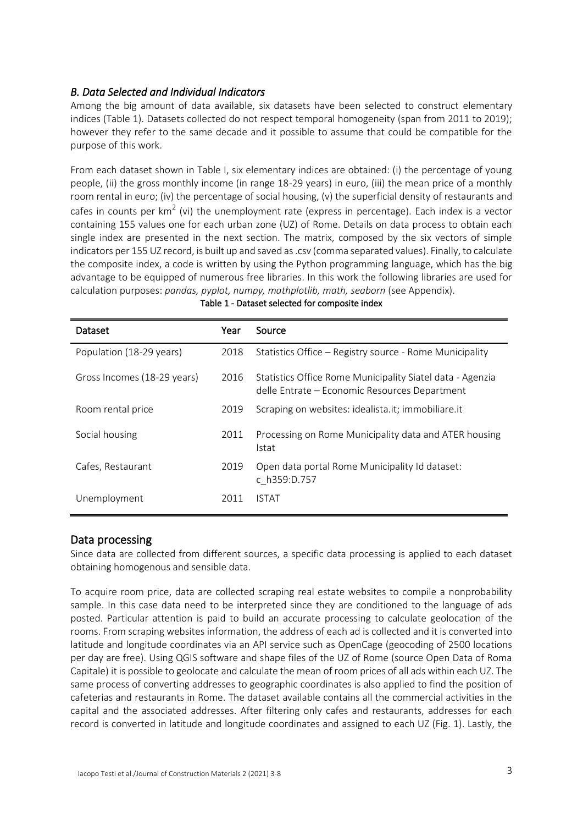## *B. Data Selected and Individual Indicators*

Among the big amount of data available, six datasets have been selected to construct elementary indices (Table 1). Datasets collected do not respect temporal homogeneity (span from 2011 to 2019); however they refer to the same decade and it possible to assume that could be compatible for the purpose of this work.

From each dataset shown in Table I, six elementary indices are obtained: (i) the percentage of young people, (ii) the gross monthly income (in range 18-29 years) in euro, (iii) the mean price of a monthly room rental in euro; (iv) the percentage of social housing, (v) the superficial density of restaurants and cafes in counts per  $km^2$  (vi) the unemployment rate (express in percentage). Each index is a vector containing 155 values one for each urban zone (UZ) of Rome. Details on data process to obtain each single index are presented in the next section. The matrix, composed by the six vectors of simple indicators per 155 UZ record, is built up and saved as .csv (comma separated values). Finally, to calculate the composite index, a code is written by using the Python programming language, which has the big advantage to be equipped of numerous free libraries. In this work the following libraries are used for calculation purposes: *pandas, pyplot, numpy, mathplotlib, math, seaborn* (see Appendix).

| Dataset                     | Year | Source                                                                                                     |
|-----------------------------|------|------------------------------------------------------------------------------------------------------------|
| Population (18-29 years)    | 2018 | Statistics Office – Registry source - Rome Municipality                                                    |
| Gross Incomes (18-29 years) | 2016 | Statistics Office Rome Municipality Siatel data - Agenzia<br>delle Entrate – Economic Resources Department |
| Room rental price           | 2019 | Scraping on websites: idealista.it; immobiliare.it                                                         |
| Social housing              | 2011 | Processing on Rome Municipality data and ATER housing<br>Istat                                             |
| Cafes, Restaurant           | 2019 | Open data portal Rome Municipality Id dataset:<br>c h359:D.757                                             |
| Unemployment                | 2011 | ISTAT                                                                                                      |

#### Table 1 - Dataset selected for composite index

#### Data processing

Since data are collected from different sources, a specific data processing is applied to each dataset obtaining homogenous and sensible data.

To acquire room price, data are collected scraping real estate websites to compile a nonprobability sample. In this case data need to be interpreted since they are conditioned to the language of ads posted. Particular attention is paid to build an accurate processing to calculate geolocation of the rooms. From scraping websites information, the address of each ad is collected and it is converted into latitude and longitude coordinates via an API service such as OpenCage (geocoding of 2500 locations per day are free). Using QGIS software and shape files of the UZ of Rome (source Open Data of Roma Capitale) it is possible to geolocate and calculate the mean of room prices of all ads within each UZ. The same process of converting addresses to geographic coordinates is also applied to find the position of cafeterias and restaurants in Rome. The dataset available contains all the commercial activities in the capital and the associated addresses. After filtering only cafes and restaurants, addresses for each record is converted in latitude and longitude coordinates and assigned to each UZ (Fig. 1). Lastly, the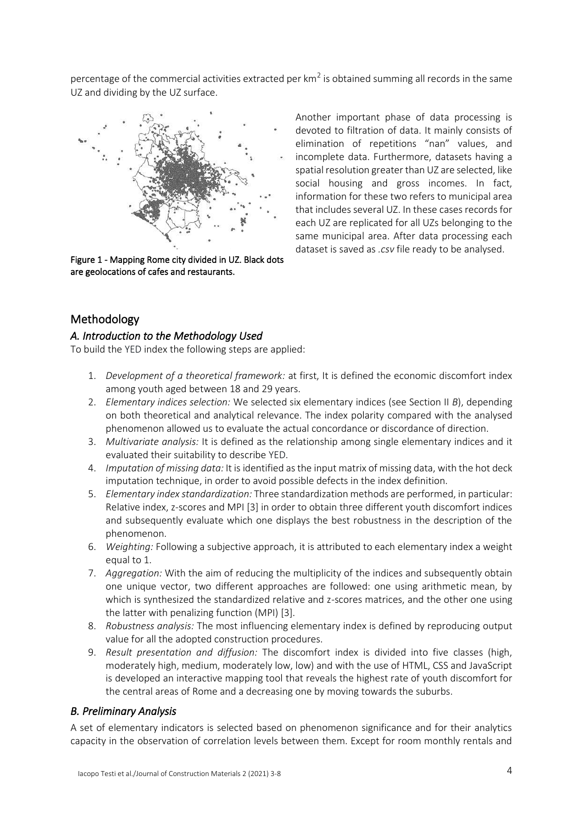percentage of the commercial activities extracted per  $km^2$  is obtained summing all records in the same UZ and dividing by the UZ surface.



Figure 1 - Mapping Rome city divided in UZ. Black dots are geolocations of cafes and restaurants.

Another important phase of data processing is devoted to filtration of data. It mainly consists of elimination of repetitions "nan" values, and incomplete data. Furthermore, datasets having a spatial resolution greater than UZ are selected, like social housing and gross incomes. In fact, information for these two refers to municipal area that includes several UZ. In these cases records for each UZ are replicated for all UZs belonging to the same municipal area. After data processing each dataset is saved as *.csv* file ready to be analysed.

# Methodology

## *A. Introduction to the Methodology Used*

To build the YED index the following steps are applied:

- 1. *Development of a theoretical framework:* at first, It is defined the economic discomfort index among youth aged between 18 and 29 years.
- 2. *Elementary indices selection:* We selected six elementary indices (see Section II *B*), depending on both theoretical and analytical relevance. The index polarity compared with the analysed phenomenon allowed us to evaluate the actual concordance or discordance of direction.
- 3. *Multivariate analysis:* It is defined as the relationship among single elementary indices and it evaluated their suitability to describe YED.
- 4. *Imputation of missing data:* It is identified as the input matrix of missing data, with the hot deck imputation technique, in order to avoid possible defects in the index definition.
- 5. *Elementary index standardization:* Three standardization methods are performed, in particular: Relative index, z-scores and MPI [3] in order to obtain three different youth discomfort indices and subsequently evaluate which one displays the best robustness in the description of the phenomenon.
- 6. *Weighting:* Following a subjective approach, it is attributed to each elementary index a weight equal to 1.
- 7. *Aggregation:* With the aim of reducing the multiplicity of the indices and subsequently obtain one unique vector, two different approaches are followed: one using arithmetic mean, by which is synthesized the standardized relative and z-scores matrices, and the other one using the latter with penalizing function (MPI) [3].
- 8. *Robustness analysis:* The most influencing elementary index is defined by reproducing output value for all the adopted construction procedures.
- 9. *Result presentation and diffusion:* The discomfort index is divided into five classes (high, moderately high, medium, moderately low, low) and with the use of HTML, CSS and JavaScript is developed an interactive mapping tool that reveals the highest rate of youth discomfort for the central areas of Rome and a decreasing one by moving towards the suburbs.

# *B. Preliminary Analysis*

A set of elementary indicators is selected based on phenomenon significance and for their analytics capacity in the observation of correlation levels between them. Except for room monthly rentals and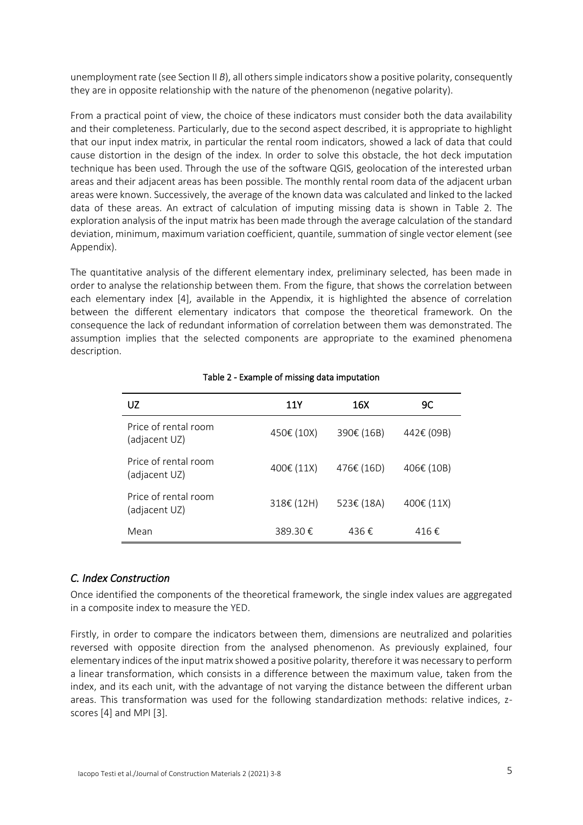unemployment rate (see Section II *B*), all others simple indicators show a positive polarity, consequently they are in opposite relationship with the nature of the phenomenon (negative polarity).

From a practical point of view, the choice of these indicators must consider both the data availability and their completeness. Particularly, due to the second aspect described, it is appropriate to highlight that our input index matrix, in particular the rental room indicators, showed a lack of data that could cause distortion in the design of the index. In order to solve this obstacle, the hot deck imputation technique has been used. Through the use of the software QGIS, geolocation of the interested urban areas and their adjacent areas has been possible. The monthly rental room data of the adjacent urban areas were known. Successively, the average of the known data was calculated and linked to the lacked data of these areas. An extract of calculation of imputing missing data is shown in Table 2. The exploration analysis of the input matrix has been made through the average calculation of the standard deviation, minimum, maximum variation coefficient, quantile, summation of single vector element (see Appendix).

The quantitative analysis of the different elementary index, preliminary selected, has been made in order to analyse the relationship between them. From the figure, that shows the correlation between each elementary index [4], available in the Appendix, it is highlighted the absence of correlation between the different elementary indicators that compose the theoretical framework. On the consequence the lack of redundant information of correlation between them was demonstrated. The assumption implies that the selected components are appropriate to the examined phenomena description.

| UZ                                    | 11Y        | 16X        | 9C         |
|---------------------------------------|------------|------------|------------|
| Price of rental room<br>(adjacent UZ) | 450€ (10X) | 390€ (16B) | 442€ (09B) |
| Price of rental room<br>(adjacent UZ) | 400€ (11X) | 476€ (16D) | 406€ (10B) |
| Price of rental room<br>(adjacent UZ) | 318€ (12H) | 523€ (18A) | 400€ (11X) |
| Mean                                  | 389.30€    | 436€       | 416€       |

#### Table 2 - Example of missing data imputation

## *C. Index Construction*

Once identified the components of the theoretical framework, the single index values are aggregated in a composite index to measure the YED.

Firstly, in order to compare the indicators between them, dimensions are neutralized and polarities reversed with opposite direction from the analysed phenomenon. As previously explained, four elementary indices of the input matrix showed a positive polarity, therefore it was necessary to perform a linear transformation, which consists in a difference between the maximum value, taken from the index, and its each unit, with the advantage of not varying the distance between the different urban areas. This transformation was used for the following standardization methods: relative indices, zscores [4] and MPI [3].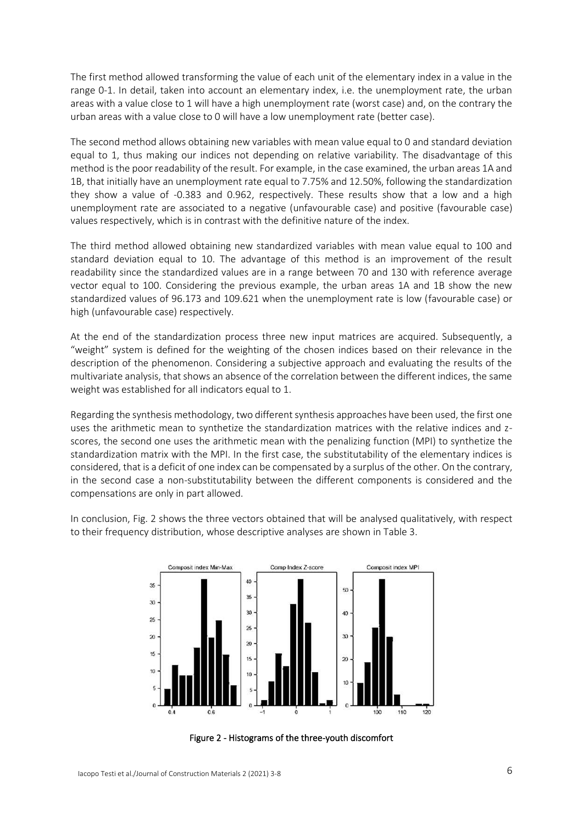The first method allowed transforming the value of each unit of the elementary index in a value in the range 0-1. In detail, taken into account an elementary index, i.e. the unemployment rate, the urban areas with a value close to 1 will have a high unemployment rate (worst case) and, on the contrary the urban areas with a value close to 0 will have a low unemployment rate (better case).

The second method allows obtaining new variables with mean value equal to 0 and standard deviation equal to 1, thus making our indices not depending on relative variability. The disadvantage of this method is the poor readability of the result. For example, in the case examined, the urban areas 1A and 1B, that initially have an unemployment rate equal to 7.75% and 12.50%, following the standardization they show a value of -0.383 and 0.962, respectively. These results show that a low and a high unemployment rate are associated to a negative (unfavourable case) and positive (favourable case) values respectively, which is in contrast with the definitive nature of the index.

The third method allowed obtaining new standardized variables with mean value equal to 100 and standard deviation equal to 10. The advantage of this method is an improvement of the result readability since the standardized values are in a range between 70 and 130 with reference average vector equal to 100. Considering the previous example, the urban areas 1A and 1B show the new standardized values of 96.173 and 109.621 when the unemployment rate is low (favourable case) or high (unfavourable case) respectively.

At the end of the standardization process three new input matrices are acquired. Subsequently, a "weight" system is defined for the weighting of the chosen indices based on their relevance in the description of the phenomenon. Considering a subjective approach and evaluating the results of the multivariate analysis, that shows an absence of the correlation between the different indices, the same weight was established for all indicators equal to 1.

Regarding the synthesis methodology, two different synthesis approaches have been used, the first one uses the arithmetic mean to synthetize the standardization matrices with the relative indices and zscores, the second one uses the arithmetic mean with the penalizing function (MPI) to synthetize the standardization matrix with the MPI. In the first case, the substitutability of the elementary indices is considered, that is a deficit of one index can be compensated by a surplus of the other. On the contrary, in the second case a non-substitutability between the different components is considered and the compensations are only in part allowed.

In conclusion, Fig. 2 shows the three vectors obtained that will be analysed qualitatively, with respect to their frequency distribution, whose descriptive analyses are shown in Table 3.



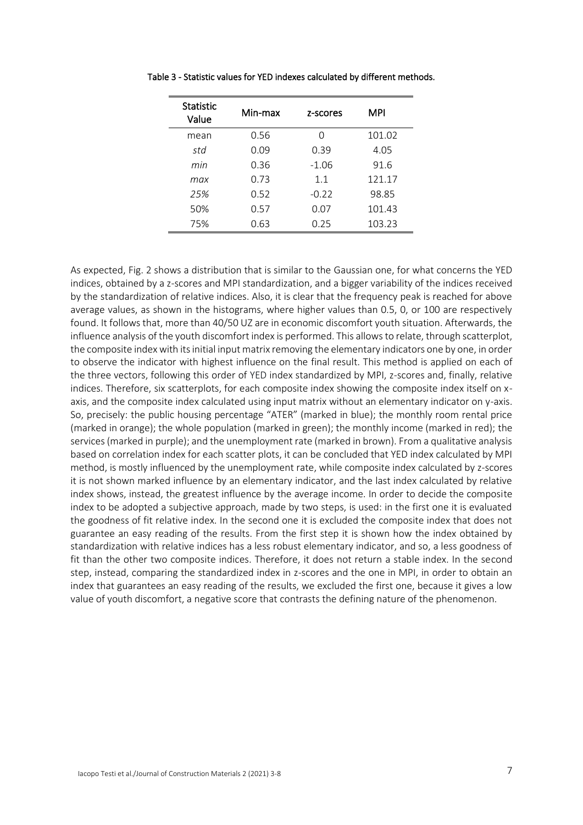| <b>Statistic</b><br>Value | Min-max | z-scores | MPI    |
|---------------------------|---------|----------|--------|
| mean                      | 0.56    | ∩        | 101.02 |
| std                       | 0.09    | 0.39     | 4.05   |
| min                       | 0.36    | $-1.06$  | 91.6   |
| max                       | 0.73    | 11       | 121.17 |
| 25%                       | 0.52    | $-0.22$  | 98.85  |
| 50%                       | 0.57    | 0.07     | 101.43 |
| 75%                       | 0.63    | 0.25     | 103.23 |

Table 3 - Statistic values for YED indexes calculated by different methods.

As expected, Fig. 2 shows a distribution that is similar to the Gaussian one, for what concerns the YED indices, obtained by a z-scores and MPI standardization, and a bigger variability of the indices received by the standardization of relative indices. Also, it is clear that the frequency peak is reached for above average values, as shown in the histograms, where higher values than 0.5, 0, or 100 are respectively found. It follows that, more than 40/50 UZ are in economic discomfort youth situation. Afterwards, the influence analysis of the youth discomfort index is performed. This allows to relate, through scatterplot, the composite index with its initial input matrix removing the elementary indicators one by one, in order to observe the indicator with highest influence on the final result. This method is applied on each of the three vectors, following this order of YED index standardized by MPI, z-scores and, finally, relative indices. Therefore, six scatterplots, for each composite index showing the composite index itself on xaxis, and the composite index calculated using input matrix without an elementary indicator on y-axis. So, precisely: the public housing percentage "ATER" (marked in blue); the monthly room rental price (marked in orange); the whole population (marked in green); the monthly income (marked in red); the services (marked in purple); and the unemployment rate (marked in brown). From a qualitative analysis based on correlation index for each scatter plots, it can be concluded that YED index calculated by MPI method, is mostly influenced by the unemployment rate, while composite index calculated by z-scores it is not shown marked influence by an elementary indicator, and the last index calculated by relative index shows, instead, the greatest influence by the average income. In order to decide the composite index to be adopted a subjective approach, made by two steps, is used: in the first one it is evaluated the goodness of fit relative index. In the second one it is excluded the composite index that does not guarantee an easy reading of the results. From the first step it is shown how the index obtained by standardization with relative indices has a less robust elementary indicator, and so, a less goodness of fit than the other two composite indices. Therefore, it does not return a stable index. In the second step, instead, comparing the standardized index in z-scores and the one in MPI, in order to obtain an index that guarantees an easy reading of the results, we excluded the first one, because it gives a low value of youth discomfort, a negative score that contrasts the defining nature of the phenomenon.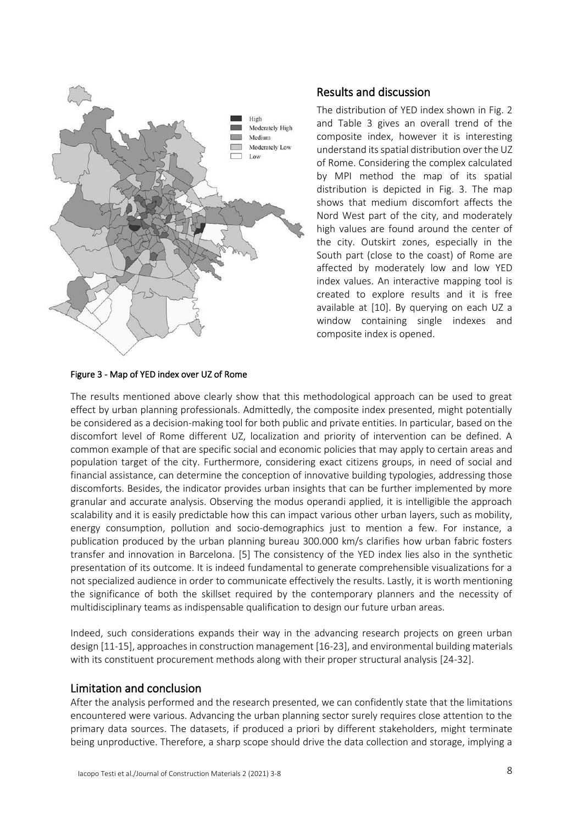

#### Figure 3 - Map of YED index over UZ of Rome

## Results and discussion

The distribution of YED index shown in Fig. 2 and Table 3 gives an overall trend of the composite index, however it is interesting understand its spatial distribution over the UZ of Rome. Considering the complex calculated by MPI method the map of its spatial distribution is depicted in Fig. 3. The map shows that medium discomfort affects the Nord West part of the city, and moderately high values are found around the center of the city. Outskirt zones, especially in the South part (close to the coast) of Rome are affected by moderately low and low YED index values. An interactive mapping tool is created to explore results and it is free available at [10]. By querying on each UZ a window containing single indexes and composite index is opened.

The results mentioned above clearly show that this methodological approach can be used to great effect by urban planning professionals. Admittedly, the composite index presented, might potentially be considered as a decision-making tool for both public and private entities. In particular, based on the discomfort level of Rome different UZ, localization and priority of intervention can be defined. A common example of that are specific social and economic policies that may apply to certain areas and population target of the city. Furthermore, considering exact citizens groups, in need of social and financial assistance, can determine the conception of innovative building typologies, addressing those discomforts. Besides, the indicator provides urban insights that can be further implemented by more granular and accurate analysis. Observing the modus operandi applied, it is intelligible the approach scalability and it is easily predictable how this can impact various other urban layers, such as mobility, energy consumption, pollution and socio-demographics just to mention a few. For instance, a publication produced by the urban planning bureau 300.000 km/s clarifies how urban fabric fosters transfer and innovation in Barcelona. [5] The consistency of the YED index lies also in the synthetic presentation of its outcome. It is indeed fundamental to generate comprehensible visualizations for a not specialized audience in order to communicate effectively the results. Lastly, it is worth mentioning the significance of both the skillset required by the contemporary planners and the necessity of multidisciplinary teams as indispensable qualification to design our future urban areas.

Indeed, such considerations expands their way in the advancing research projects on green urban design [11-15], approaches in construction management [16-23], and environmental building materials with its constituent procurement methods along with their proper structural analysis [24-32].

#### Limitation and conclusion

After the analysis performed and the research presented, we can confidently state that the limitations encountered were various. Advancing the urban planning sector surely requires close attention to the primary data sources. The datasets, if produced a priori by different stakeholders, might terminate being unproductive. Therefore, a sharp scope should drive the data collection and storage, implying a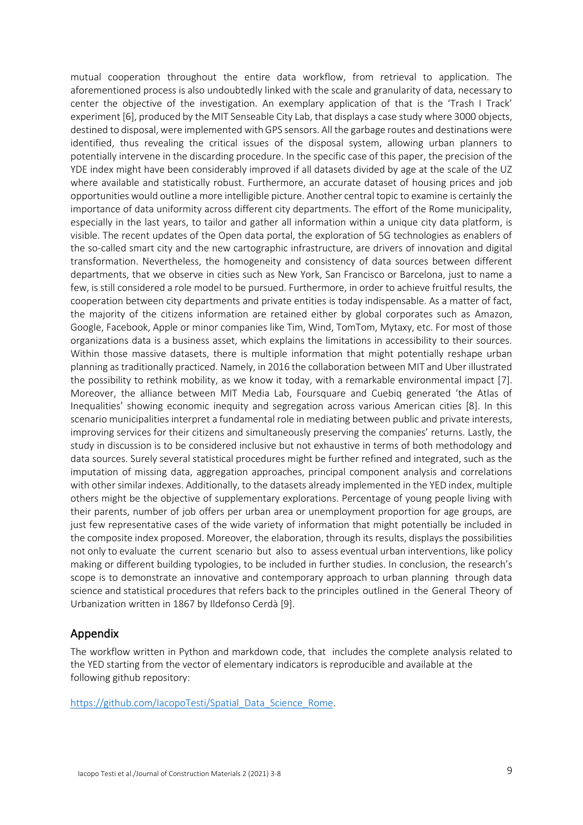mutual cooperation throughout the entire data workflow, from retrieval to application. The aforementioned process is also undoubtedly linked with the scale and granularity of data, necessary to center the objective of the investigation. An exemplary application of that is the 'Trash I Track' experiment [6], produced by the MIT Senseable City Lab, that displays a case study where 3000 objects, destined to disposal, were implemented with GPS sensors. All the garbage routes and destinations were identified, thus revealing the critical issues of the disposal system, allowing urban planners to potentially intervene in the discarding procedure. In the specific case of this paper, the precision of the YDE index might have been considerably improved if all datasets divided by age at the scale of the UZ where available and statistically robust. Furthermore, an accurate dataset of housing prices and job opportunities would outline a more intelligible picture. Another central topic to examine is certainly the importance of data uniformity across different city departments. The effort of the Rome municipality, especially in the last years, to tailor and gather all information within a unique city data platform, is visible. The recent updates of the Open data portal, the exploration of 5G technologies as enablers of the so-called smart city and the new cartographic infrastructure, are drivers of innovation and digital transformation. Nevertheless, the homogeneity and consistency of data sources between different departments, that we observe in cities such as New York, San Francisco or Barcelona, just to name a few, is still considered a role model to be pursued. Furthermore, in order to achieve fruitful results, the cooperation between city departments and private entities is today indispensable. As a matter of fact, the majority of the citizens information are retained either by global corporates such as Amazon, Google, Facebook, Apple or minor companies like Tim, Wind, TomTom, Mytaxy, etc. For most of those organizations data is a business asset, which explains the limitations in accessibility to their sources. Within those massive datasets, there is multiple information that might potentially reshape urban planning as traditionally practiced. Namely, in 2016 the collaboration between MIT and Uber illustrated the possibility to rethink mobility, as we know it today, with a remarkable environmental impact [7]. Moreover, the alliance between MIT Media Lab, Foursquare and Cuebiq generated 'the Atlas of Inequalities' showing economic inequity and segregation across various American cities [8]. In this scenario municipalities interpret a fundamental role in mediating between public and private interests, improving services for their citizens and simultaneously preserving the companies' returns. Lastly, the study in discussion is to be considered inclusive but not exhaustive in terms of both methodology and data sources. Surely several statistical procedures might be further refined and integrated, such as the imputation of missing data, aggregation approaches, principal component analysis and correlations with other similar indexes. Additionally, to the datasets already implemented in the YED index, multiple others might be the objective of supplementary explorations. Percentage of young people living with their parents, number of job offers per urban area or unemployment proportion for age groups, are just few representative cases of the wide variety of information that might potentially be included in the composite index proposed. Moreover, the elaboration, through its results, displays the possibilities not only to evaluate the current scenario but also to assess eventual urban interventions, like policy making or different building typologies, to be included in further studies. In conclusion, the research's scope is to demonstrate an innovative and contemporary approach to urban planning through data science and statistical procedures that refers back to the principles outlined in the General Theory of Urbanization written in 1867 by Ildefonso Cerdà [9].

# Appendix

The workflow written in Python and markdown code, that includes the complete analysis related to the YED starting from the vector of elementary indicators is reproducible and available at the following github repository:

[https://github.com/IacopoTesti/Spatial\\_Data\\_Science\\_Rome.](https://github.com/IacopoTesti/Spatial_Data_Science_Rome)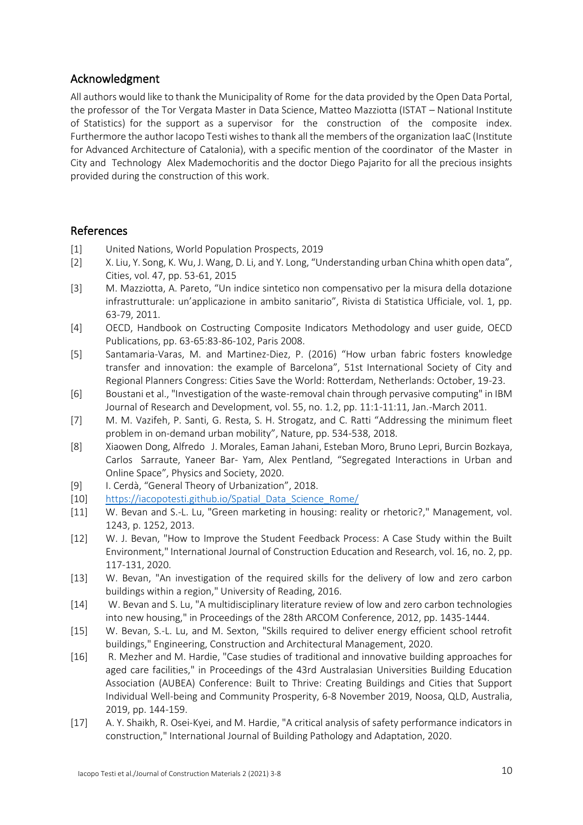# Acknowledgment

All authors would like to thank the Municipality of Rome for the data provided by the Open Data Portal, the professor of the Tor Vergata Master in Data Science, Matteo Mazziotta (ISTAT – National Institute of Statistics) for the support as a supervisor for the construction of the composite index. Furthermore the author Iacopo Testi wishes to thank all the members of the organization IaaC (Institute for Advanced Architecture of Catalonia), with a specific mention of the coordinator of the Master in City and Technology Alex Mademochoritis and the doctor Diego Pajarito for all the precious insights provided during the construction of this work.

# References

- [1] United Nations, World Population Prospects, 2019
- [2] X. Liu, Y. Song, K. Wu, J. Wang, D. Li, and Y. Long, "Understanding urban China whith open data", Cities, vol. 47, pp. 53-61, 2015
- [3] M. Mazziotta, A. Pareto, "Un indice sintetico non compensativo per la misura della dotazione infrastrutturale: un'applicazione in ambito sanitario", Rivista di Statistica Ufficiale, vol. 1, pp. 63-79, 2011.
- [4] OECD, Handbook on Costructing Composite Indicators Methodology and user guide, OECD Publications, pp. 63-65:83-86-102, Paris 2008.
- [5] Santamaria-Varas, M. and Martinez-Diez, P. (2016) "How urban fabric fosters knowledge transfer and innovation: the example of Barcelona", 51st International Society of City and Regional Planners Congress: Cities Save the World: Rotterdam, Netherlands: October, 19-23.
- [6] Boustani et al., "Investigation of the waste-removal chain through pervasive computing" in IBM Journal of Research and Development, vol. 55, no. 1.2, pp. 11:1-11:11, Jan.-March 2011.
- [7] M. M. Vazifeh, P. Santi, G. Resta, S. H. Strogatz, and C. Ratti "Addressing the minimum fleet problem in on-demand urban mobility", Nature, pp. 534-538, 2018.
- [8] Xiaowen Dong, Alfredo J. Morales, Eaman Jahani, Esteban Moro, Bruno Lepri, Burcin Bozkaya, Carlos Sarraute, Yaneer Bar- Yam, Alex Pentland, "Segregated Interactions in Urban and Online Space", Physics and Society, 2020.
- [9] I. Cerdà, "General Theory of Urbanization", 2018.
- [10] https://iacopotesti.github.io/Spatial Data Science Rome/
- [11] W. Bevan and S.-L. Lu, "Green marketing in housing: reality or rhetoric?," Management, vol. 1243, p. 1252, 2013.
- [12] W. J. Bevan, "How to Improve the Student Feedback Process: A Case Study within the Built Environment," International Journal of Construction Education and Research, vol. 16, no. 2, pp. 117-131, 2020.
- [13] W. Bevan, "An investigation of the required skills for the delivery of low and zero carbon buildings within a region," University of Reading, 2016.
- [14] W. Bevan and S. Lu, "A multidisciplinary literature review of low and zero carbon technologies into new housing," in Proceedings of the 28th ARCOM Conference, 2012, pp. 1435-1444.
- [15] W. Bevan, S.-L. Lu, and M. Sexton, "Skills required to deliver energy efficient school retrofit buildings," Engineering, Construction and Architectural Management, 2020.
- [16] R. Mezher and M. Hardie, "Case studies of traditional and innovative building approaches for aged care facilities," in Proceedings of the 43rd Australasian Universities Building Education Association (AUBEA) Conference: Built to Thrive: Creating Buildings and Cities that Support Individual Well-being and Community Prosperity, 6-8 November 2019, Noosa, QLD, Australia, 2019, pp. 144-159.
- [17] A. Y. Shaikh, R. Osei‐Kyei, and M. Hardie, "A critical analysis of safety performance indicators in construction," International Journal of Building Pathology and Adaptation, 2020.